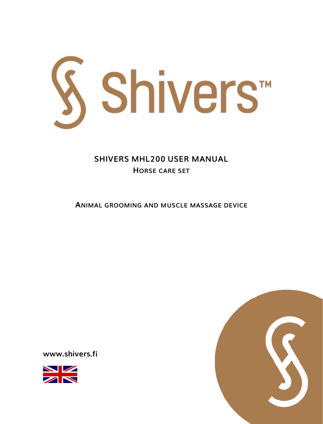

# **SHIVERS MHL200 USER MANUAL HORSE CARE SET**

**ANIMAL GROOMING AND MUSCLE MASSAGE DEVICE**



**www.shivers.fi** 

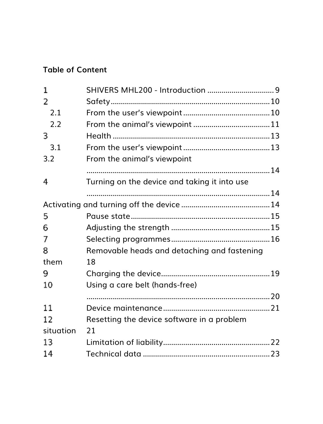# **Table of Content**

| 1              |                                              |  |
|----------------|----------------------------------------------|--|
| $\overline{2}$ |                                              |  |
| 2.1            |                                              |  |
| 2.2            |                                              |  |
| 3              |                                              |  |
| 3.1            |                                              |  |
| 3.2            | From the animal's viewpoint                  |  |
|                |                                              |  |
| 4              | Turning on the device and taking it into use |  |
|                |                                              |  |
|                |                                              |  |
| 5              |                                              |  |
| 6              |                                              |  |
| 7              |                                              |  |
| 8              | Removable heads and detaching and fastening  |  |
| them           | 18                                           |  |
| 9              |                                              |  |
| 10             | Using a care belt (hands-free)               |  |
|                |                                              |  |
| 11             |                                              |  |
| 12             | Resetting the device software in a problem   |  |
| situation      | 21                                           |  |
| 13             |                                              |  |
| 14             |                                              |  |
|                |                                              |  |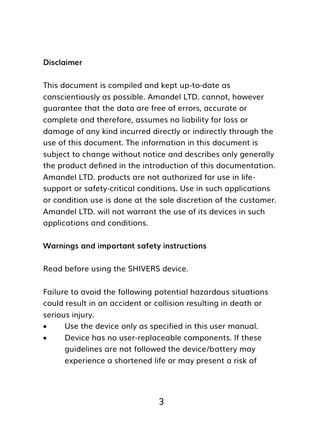### **Disclaimer**

This document is compiled and kept up-to-date as conscientiously as possible. Amandel LTD. cannot, however guarantee that the data are free of errors, accurate or complete and therefore, assumes no liability for loss or damage of any kind incurred directly or indirectly through the use of this document. The information in this document is subject to change without notice and describes only generally the product defined in the introduction of this documentation. Amandel LTD. products are not authorized for use in lifesupport or safety-critical conditions. Use in such applications or condition use is done at the sole discretion of the customer. Amandel LTD, will not warrant the use of its devices in such applications and conditions.

### **Warnings and important safety instructions**

Read before using the SHIVERS device.

Failure to avoid the following potential hazardous situations could result in an accident or collision resulting in death or serious injury.

- Use the device only as specified in this user manual.
- Device has no user-replaceable components. If these guidelines are not followed the device/battery may experience a shortened life or may present a risk of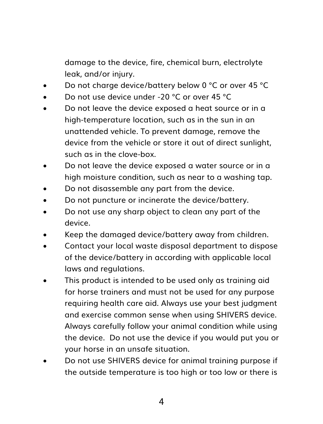damage to the device, fire, chemical burn, electrolyte leak, and/or injury.

- Do not charge device/battery below 0 °C or over 45 °C
- Do not use device under -20 °C or over 45 °C
- Do not leave the device exposed a heat source or in a high-temperature location, such as in the sun in an unattended vehicle. To prevent damage, remove the device from the vehicle or store it out of direct sunlight, such as in the clove-box.
- Do not leave the device exposed a water source or in a high moisture condition, such as near to a washing tap.
- Do not disassemble any part from the device.
- Do not puncture or incinerate the device/battery.
- Do not use any sharp object to clean any part of the device.
- Keep the damaged device/battery away from children.
- Contact your local waste disposal department to dispose of the device/battery in according with applicable local laws and regulations.
- This product is intended to be used only as training aid for horse trainers and must not be used for any purpose requiring health care aid. Always use your best judgment and exercise common sense when using SHIVERS device. Always carefully follow your animal condition while using the device. Do not use the device if you would put you or your horse in an unsafe situation.
- Do not use SHIVERS device for animal training purpose if the outside temperature is too high or too low or there is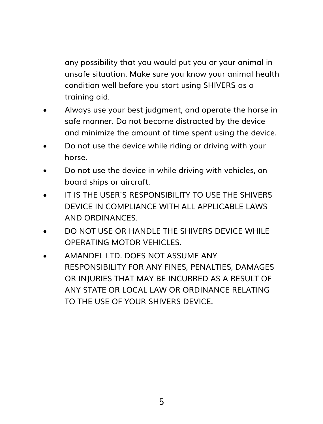any possibility that you would put you or your animal in unsafe situation. Make sure you know your animal health condition well before you start using SHIVERS as a training aid.

- Always use your best judgment, and operate the horse in safe manner. Do not become distracted by the device and minimize the amount of time spent using the device.
- Do not use the device while riding or driving with your horse.
- Do not use the device in while driving with vehicles, on board ships or aircraft.
- IT IS THE USER´S RESPONSIBILITY TO USE THE SHIVERS DEVICE IN COMPLIANCE WITH ALL APPLICABLE LAWS AND ORDINANCES.
- DO NOT USE OR HANDLE THE SHIVERS DEVICE WHILE OPERATING MOTOR VEHICLES.
- **AMANDEL LTD. DOES NOT ASSUME ANY** RESPONSIBILITY FOR ANY FINES, PENALTIES, DAMAGES OR INJURIES THAT MAY BE INCURRED AS A RESULT OF ANY STATE OR LOCAL LAW OR ORDINANCE RELATING TO THE USE OF YOUR SHIVERS DEVICE.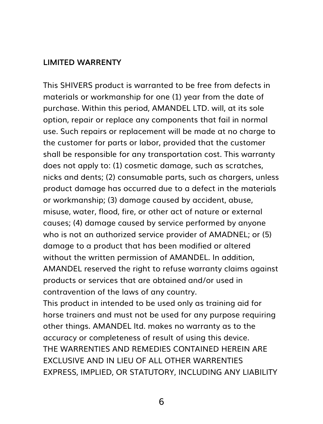### **LIMITED WARRENTY**

This SHIVERS product is warranted to be free from defects in materials or workmanship for one (1) year from the date of purchase. Within this period, AMANDEL LTD. will, at its sole option, repair or replace any components that fail in normal use. Such repairs or replacement will be made at no charge to the customer for parts or labor, provided that the customer shall be responsible for any transportation cost. This warranty does not apply to: (1) cosmetic damage, such as scratches, nicks and dents; (2) consumable parts, such as chargers, unless product damage has occurred due to a defect in the materials or workmanship; (3) damage caused by accident, abuse, misuse, water, flood, fire, or other act of nature or external causes; (4) damage caused by service performed by anyone who is not an authorized service provider of AMADNEL; or (5) damage to a product that has been modified or altered without the written permission of AMANDEL. In addition, AMANDEL reserved the right to refuse warranty claims against products or services that are obtained and/or used in contravention of the laws of any country.

This product in intended to be used only as training aid for horse trainers and must not be used for any purpose requiring other things. AMANDEL ltd. makes no warranty as to the accuracy or completeness of result of using this device. THE WARRENTIES AND REMEDIES CONTAINED HEREIN ARE EXCLUSIVE AND IN LIEU OF ALL OTHER WARRENTIES EXPRESS, IMPLIED, OR STATUTORY, INCLUDING ANY LIABILITY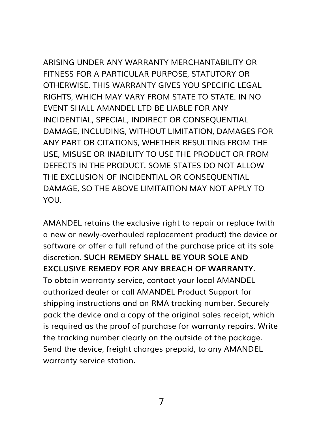ARISING UNDER ANY WARRANTY MERCHANTABILITY OR FITNESS FOR A PARTICULAR PURPOSE, STATUTORY OR OTHERWISE. THIS WARRANTY GIVES YOU SPECIFIC LEGAL RIGHTS, WHICH MAY VARY FROM STATE TO STATE. IN NO EVENT SHALL AMANDEL LTD BE LIABLE FOR ANY INCIDENTIAL, SPECIAL, INDIRECT OR CONSEQUENTIAL DAMAGE, INCLUDING, WITHOUT LIMITATION, DAMAGES FOR ANY PART OR CITATIONS, WHETHER RESULTING FROM THE USE, MISUSE OR INABILITY TO USE THE PRODUCT OR FROM DEFECTS IN THE PRODUCT. SOME STATES DO NOT ALLOW THE EXCLUSION OF INCIDENTIAL OR CONSEQUENTIAL DAMAGE, SO THE ABOVE LIMITAITION MAY NOT APPLY TO YOU.

AMANDEL retains the exclusive right to repair or replace (with a new or newly-overhauled replacement product) the device or software or offer a full refund of the purchase price at its sole discretion. **SUCH REMEDY SHALL BE YOUR SOLE AND EXCLUSIVE REMEDY FOR ANY BREACH OF WARRANTY.**  To obtain warranty service, contact your local AMANDEL authorized dealer or call AMANDEL Product Support for shipping instructions and an RMA tracking number. Securely pack the device and a copy of the original sales receipt, which is required as the proof of purchase for warranty repairs. Write the tracking number clearly on the outside of the package. Send the device, freight charges prepaid, to any AMANDEL warranty service station.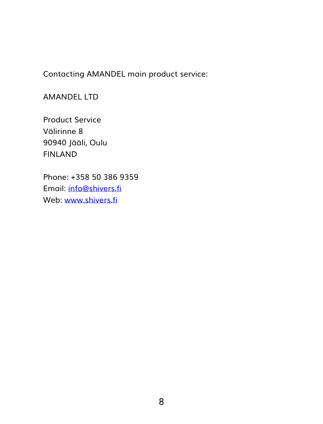Contacting AMANDEL main product service:

# AMANDEL LTD

Product Service Välirinne 8 90940 Jääli, Oulu FINLAND

Phone: +358 50 386 9359 Email: [info@shivers.fi](mailto:info@shivers.fi) Web: [www.shivers.fi](http://www.shivers.fi/)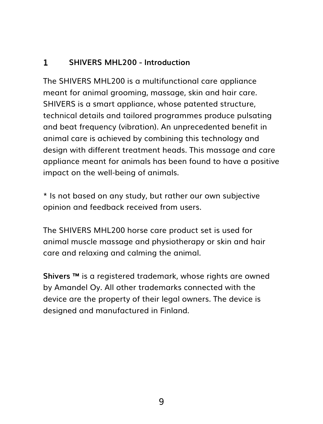#### <span id="page-8-0"></span> $\mathbf{1}$ **SHIVERS MHL200 - Introduction**

The SHIVERS MHL200 is a multifunctional care appliance meant for animal grooming, massage, skin and hair care. SHIVERS is a smart appliance, whose patented structure, technical details and tailored programmes produce pulsating and beat frequency (vibration). An unprecedented benefit in animal care is achieved by combining this technology and design with different treatment heads. This massage and care appliance meant for animals has been found to have a positive impact on the well-being of animals.

\* Is not based on any study, but rather our own subjective opinion and feedback received from users.

The SHIVERS MHL200 horse care product set is used for animal muscle massage and physiotherapy or skin and hair care and relaxing and calming the animal.

**Shivers ™** is a registered trademark, whose rights are owned by Amandel Oy. All other trademarks connected with the device are the property of their legal owners. The device is designed and manufactured in Finland.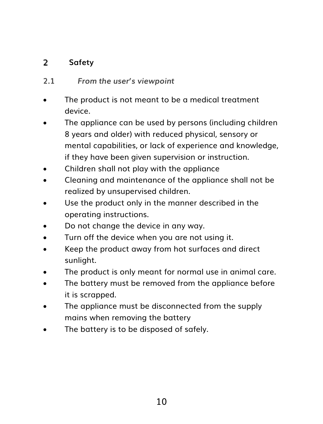#### <span id="page-9-0"></span> $\overline{z}$ **Safety**

- <span id="page-9-1"></span>**2.1** *From the user's viewpoint*
- The product is not meant to be a medical treatment device.
- The appliance can be used by persons (including children 8 years and older) with reduced physical, sensory or mental capabilities, or lack of experience and knowledge, if they have been given supervision or instruction.
- Children shall not play with the appliance
- Cleaning and maintenance of the appliance shall not be realized by unsupervised children.
- Use the product only in the manner described in the operating instructions.
- Do not change the device in any way.
- Turn off the device when you are not using it.
- Keep the product away from hot surfaces and direct sunlight.
- The product is only meant for normal use in animal care.
- The battery must be removed from the appliance before it is scrapped.
- The appliance must be disconnected from the supply mains when removing the battery
- The battery is to be disposed of safely.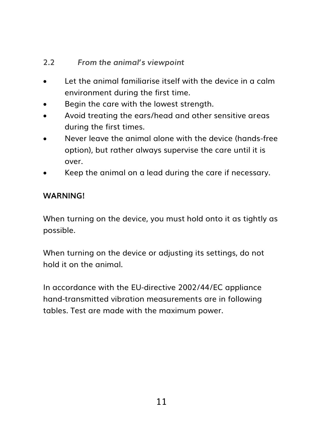## <span id="page-10-0"></span>**2.2** *From the animal's viewpoint*

- Let the animal familiarise itself with the device in a calm environment during the first time.
- Begin the care with the lowest strength.
- Avoid treating the ears/head and other sensitive areas during the first times.
- Never leave the animal alone with the device (hands-free option), but rather always supervise the care until it is over.
- Keep the animal on a lead during the care if necessary.

### **WARNING!**

When turning on the device, you must hold onto it as tightly as possible.

When turning on the device or adjusting its settings, do not hold it on the animal.

In accordance with the EU-directive 2002/44/EC appliance hand-transmitted vibration measurements are in following tables. Test are made with the maximum power.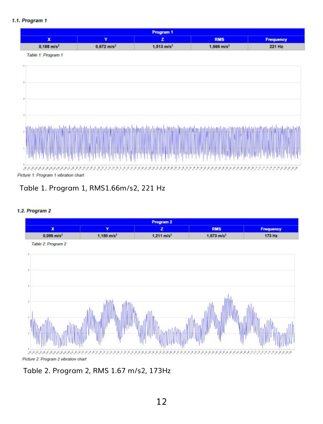### 1.1. Program 1



### Table 1. Program 1, RMS1.66m/s2, 221 Hz

#### 1.2. Program 2



## Table 2. Program 2, RMS 1.67 m/s2, 173Hz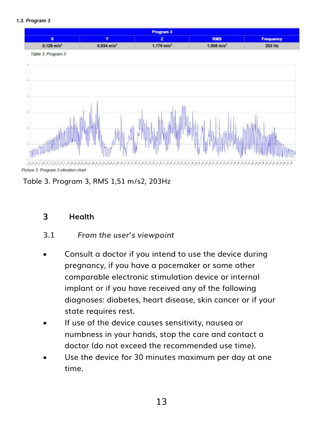#### 1.3. Program 3

| Program 3                |                          |                       |                          |                  |  |  |
|--------------------------|--------------------------|-----------------------|--------------------------|------------------|--|--|
|                          |                          |                       | <b>RMS</b>               | <b>Frequency</b> |  |  |
| $0,128$ m/s <sup>2</sup> | $0,934$ m/s <sup>2</sup> | $1,176 \text{ m/s}^2$ | $1,508$ m/s <sup>2</sup> | 203 Hz           |  |  |

Table 3: Program 3



Table 3. Program 3, RMS 1,51 m/s2, 203Hz

#### <span id="page-12-0"></span>3 **Health**

## <span id="page-12-1"></span>**3.1** *From the user's viewpoint*

- Consult a doctor if you intend to use the device during pregnancy, if you have a pacemaker or some other comparable electronic stimulation device or internal implant or if you have received any of the following diagnoses: diabetes, heart disease, skin cancer or if your state requires rest.
- If use of the device causes sensitivity, nausea or numbness in your hands, stop the care and contact a doctor (do not exceed the recommended use time).
- Use the device for 30 minutes maximum per day at one time.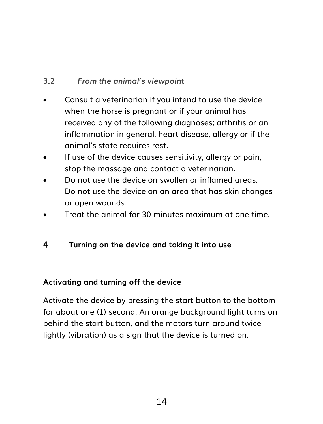## <span id="page-13-0"></span>**3.2** *From the animal's viewpoint*

- Consult a veterinarian if you intend to use the device when the horse is pregnant or if your animal has received any of the following diagnoses; arthritis or an inflammation in general, heart disease, allergy or if the animal's state requires rest.
- If use of the device causes sensitivity, allergy or pain, stop the massage and contact a veterinarian.
- Do not use the device on swollen or inflamed areas. Do not use the device on an area that has skin changes or open wounds.
- Treat the animal for 30 minutes maximum at one time.

#### <span id="page-13-1"></span>4 **Turning on the device and taking it into use**

### <span id="page-13-2"></span>**Activating and turning off the device**

Activate the device by pressing the start button to the bottom for about one (1) second. An orange background light turns on behind the start button, and the motors turn around twice lightly (vibration) as a sign that the device is turned on.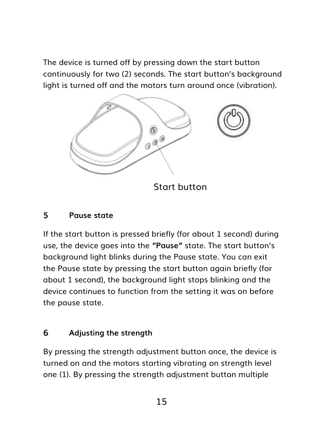The device is turned off by pressing down the start button continuously for two (2) seconds. The start button's background light is turned off and the motors turn around once (vibration).



Start button

#### <span id="page-14-0"></span>5 **Pause state**

If the start button is pressed briefly (for about 1 second) during use, the device goes into the **"Pause"** state. The start button's background light blinks during the Pause state. You can exit the Pause state by pressing the start button again briefly (for about 1 second), the background light stops blinking and the device continues to function from the setting it was on before the pause state.

#### <span id="page-14-1"></span>6 **Adjusting the strength**

By pressing the strength adjustment button once, the device is turned on and the motors starting vibrating on strength level one (1). By pressing the strength adjustment button multiple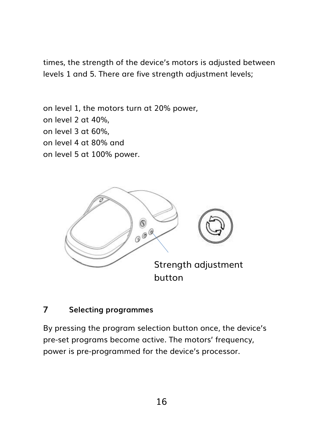times, the strength of the device's motors is adjusted between levels 1 and 5. There are five strength adjustment levels;

on level 1, the motors turn at 20% power,

- on level 2 at 40%,
- on level 3 at 60%,
- on level 4 at 80% and

on level 5 at 100% power.



#### <span id="page-15-0"></span> $\overline{7}$ **Selecting programmes**

By pressing the program selection button once, the device's pre-set programs become active. The motors' frequency, power is pre-programmed for the device's processor.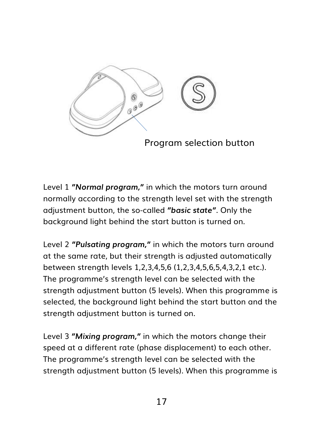

Level 1 *"Normal program,"* in which the motors turn around normally according to the strength level set with the strength adjustment button, the so-called *"basic state"*. Only the background light behind the start button is turned on.

Level 2 *"Pulsating program,"* in which the motors turn around at the same rate, but their strength is adjusted automatically between strength levels 1,2,3,4,5,6 (1,2,3,4,5,6,5,4,3,2,1 etc.). The programme's strength level can be selected with the strength adjustment button (5 levels). When this programme is selected, the background light behind the start button and the strength adjustment button is turned on.

Level 3 *"Mixing program,"* in which the motors change their speed at a different rate (phase displacement) to each other. The programme's strength level can be selected with the strength adjustment button (5 levels). When this programme is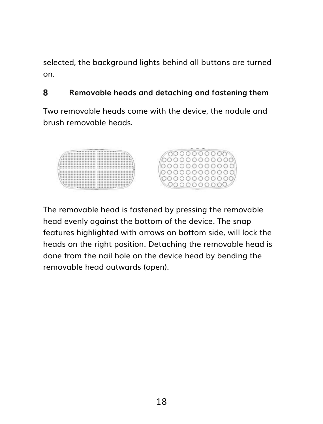selected, the background lights behind all buttons are turned on.

#### <span id="page-17-0"></span>**Removable heads and detaching and fastening them R**

Two removable heads come with the device, the nodule and brush removable heads.



The removable head is fastened by pressing the removable head evenly against the bottom of the device. The snap features highlighted with arrows on bottom side, will lock the heads on the right position. Detaching the removable head is done from the nail hole on the device head by bending the removable head outwards (open).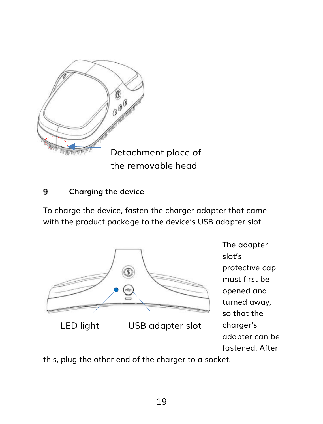

#### <span id="page-18-0"></span>9 **Charging the device**

To charge the device, fasten the charger adapter that came with the product package to the device's USB adapter slot.



this, plug the other end of the charger to a socket.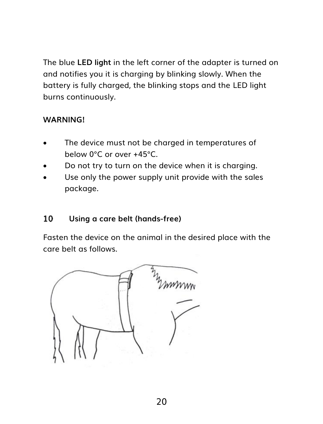The blue **LED light** in the left corner of the adapter is turned on and notifies you it is charging by blinking slowly. When the battery is fully charged, the blinking stops and the LED light burns continuously.

### **WARNING!**

- The device must not be charged in temperatures of below 0°C or over +45°C.
- Do not try to turn on the device when it is charging.
- Use only the power supply unit provide with the sales package.

#### <span id="page-19-0"></span>10 **Using a care belt (hands-free)**

Fasten the device on the animal in the desired place with the care belt as follows.

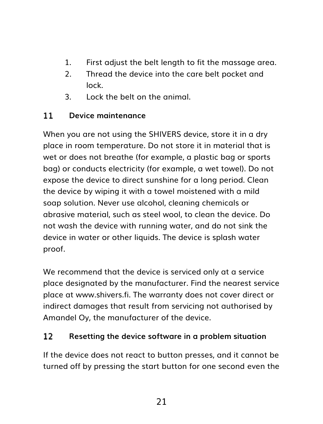- 1. First adjust the belt length to fit the massage area.
- 2. Thread the device into the care belt pocket and lock.
- 3. Lock the belt on the animal.

#### <span id="page-20-0"></span>11 **Device maintenance**

When you are not using the SHIVERS device, store it in a dry place in room temperature. Do not store it in material that is wet or does not breathe (for example, a plastic bag or sports bag) or conducts electricity (for example, a wet towel). Do not expose the device to direct sunshine for a long period. Clean the device by wiping it with a towel moistened with a mild soap solution. Never use alcohol, cleaning chemicals or abrasive material, such as steel wool, to clean the device. Do not wash the device with running water, and do not sink the device in water or other liquids. The device is splash water proof.

We recommend that the device is serviced only at a service place designated by the manufacturer. Find the nearest service place at www.shivers.fi. The warranty does not cover direct or indirect damages that result from servicing not authorised by Amandel Oy, the manufacturer of the device.

#### <span id="page-20-1"></span> $12<sub>1</sub>$ **Resetting the device software in a problem situation**

If the device does not react to button presses, and it cannot be turned off by pressing the start button for one second even the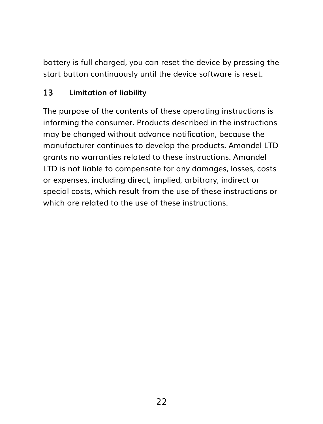battery is full charged, you can reset the device by pressing the start button continuously until the device software is reset.

#### <span id="page-21-0"></span>13 **Limitation of liability**

The purpose of the contents of these operating instructions is informing the consumer. Products described in the instructions may be changed without advance notification, because the manufacturer continues to develop the products. Amandel LTD grants no warranties related to these instructions. Amandel LTD is not liable to compensate for any damages, losses, costs or expenses, including direct, implied, arbitrary, indirect or special costs, which result from the use of these instructions or which are related to the use of these instructions.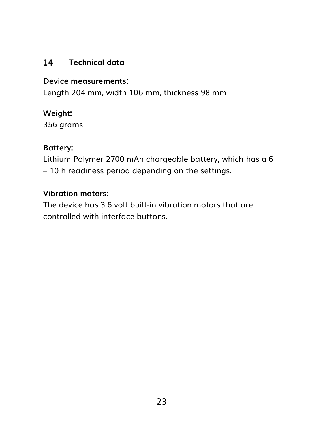# <span id="page-22-0"></span>**Technical data**

### **Device measurements:**

Length 204 mm, width 106 mm, thickness 98 mm

## **Weight:**

356 grams

### **Battery:**

Lithium Polymer 2700 mAh chargeable battery, which has a 6 – 10 h readiness period depending on the settings.

### **Vibration motors:**

The device has 3.6 volt built-in vibration motors that are controlled with interface buttons.